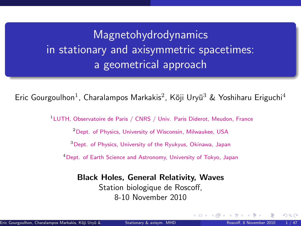# <span id="page-0-1"></span>Magnetohydrodynamics in stationary and axisymmetric spacetimes: a geometrical approach

Eric Gourgoulhon<sup>1</sup>, Charalampos Markakis<sup>2</sup>, Kōji Uryū<sup>3</sup> & Yoshiharu Eriguchi<sup>4</sup>

<sup>1</sup>LUTH, Observatoire de Paris / CNRS / Univ. Paris Diderot, Meudon, France

<sup>2</sup>Dept. of Physics, University of Wisconsin, Milwaukee, USA

<sup>3</sup>Dept. of Physics, University of the Ryukyus, Okinawa, Japan

<sup>4</sup>Dept. of Earth Science and Astronomy, University of Tokyo, Japan

#### Black Holes, General Relativity, Waves

Station biologique de Roscoff, 8-10 November 2010

<span id="page-0-0"></span>**4 ロ ト 4 何 ト 4**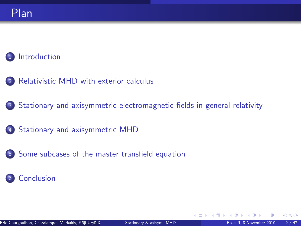#### [Introduction](#page-2-0)

- <sup>2</sup> [Relativistic MHD with exterior calculus](#page-7-0)
- <sup>3</sup> [Stationary and axisymmetric electromagnetic fields in general relativity](#page-16-0)
- 4 [Stationary and axisymmetric MHD](#page-30-0)
- <sup>5</sup> [Some subcases of the master transfield equation](#page-52-0)

#### <sup>6</sup> [Conclusion](#page-59-0)

**←ロ ▶ ← イ 同 →** 

 $290$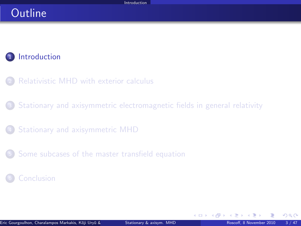### Outline

### 1 [Introduction](#page-2-0)

- [Relativistic MHD with exterior calculus](#page-7-0)
- <sup>3</sup> [Stationary and axisymmetric electromagnetic fields in general relativity](#page-16-0)
- <sup>4</sup> [Stationary and axisymmetric MHD](#page-30-0)
- <sup>5</sup> [Some subcases of the master transfield equation](#page-52-0)

#### **[Conclusion](#page-59-0)**

<span id="page-2-0"></span> $\Omega$ 

**4 ロ ト 4 何 ト 4**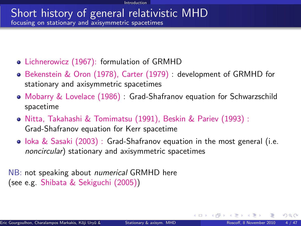#### Short history of general relativistic MHD focusing on stationary and axisymmetric spacetimes

- Lichnerowicz (1967): formulation of GRMHD
- Bekenstein & Oron (1978), Carter (1979) : development of GRMHD for stationary and axisymmetric spacetimes
- Mobarry & Lovelace (1986) : Grad-Shafranov equation for Schwarzschild spacetime
- Nitta, Takahashi & Tomimatsu (1991), Beskin & Pariev (1993) : Grad-Shafranov equation for Kerr spacetime
- $\bullet$  loka & Sasaki (2003) : Grad-Shafranov equation in the most general (i.e. noncircular) stationary and axisymmetric spacetimes

NB: not speaking about *numerical* GRMHD here (see e.g. Shibata & Sekiguchi (2005))

 $\Omega$ 

イロト イ押ト イヨト イ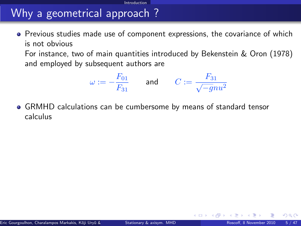# Why a geometrical approach ?

**•** Previous studies made use of component expressions, the covariance of which is not obvious

Introduction

For instance, two of main quantities introduced by Bekenstein & Oron (1978) and employed by subsequent authors are

$$
\omega:=-\frac{F_{01}}{F_{31}}\qquad\text{and}\qquad C:=\frac{F_{31}}{\sqrt{-g}nu^2}
$$

GRMHD calculations can be cumbersome by means of standard tensor calculus

<span id="page-4-0"></span> $\Omega$ 

**←ロ ▶ ← イ 同 →**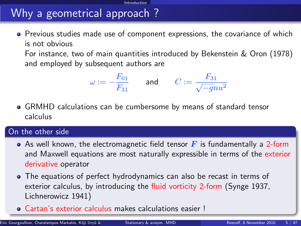# Why a geometrical approach ?

**•** Previous studies made use of component expressions, the covariance of which is not obvious

**Introduction** 

For instance, two of main quantities introduced by Bekenstein & Oron (1978) and employed by subsequent authors are

$$
\omega:=-\frac{F_{01}}{F_{31}}\qquad\text{and}\qquad C:=\frac{F_{31}}{\sqrt{-g}nu^2}
$$

GRMHD calculations can be cumbersome by means of standard tensor calculus

#### On the other side

- As well known, the electromagnetic field tensor  $\mathbf{F}$  is fundamentally a 2-form and Maxwell equations are most naturally expressible in terms of the exterior derivative operator
- The equations of perfect hydrodynamics can also be recast in terms of exterior calculus, by introducing the fluid vorticity 2-form (Synge 1937, Lichnerowicz 1941)
- Cartan's exterior calculus makes calculations eas[ier](#page-4-0) [!](#page-6-0)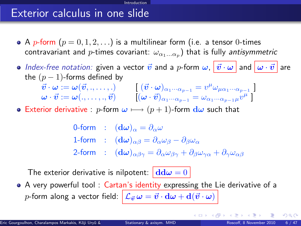### Exterior calculus in one slide

• A p-form  $(p = 0, 1, 2, ...)$  is a multilinear form (i.e. a tensor 0-times contravariant and  $p$ -times covariant:  $\omega_{\alpha_1...\alpha_p})$  that is fully *antisymmetric* 

Introduction

- $\bullet$  Index-free notation: given a vector  $\vec{v}$  and a p-form  $\omega$ ,  $|\vec{v}\cdot\omega|$  and  $|\omega\cdot\vec{v}|$  are the  $(p-1)$ -forms defined by
	- $\vec{v}\cdot\omega:=\omega(\vec{v},.,\dots,.) \qquad \left[~ (\vec{v}\cdot\omega)_{\alpha_1\cdot\cdot\cdot\alpha_{p-1}}=v^\mu\omega_{\mu\alpha_1\cdot\cdot\cdot\alpha_{p-1}}~\right]$  $\bm{\omega} \cdot \vec{\bm{v}} := \bm{\omega}(.,\dots,., \vec{\bm{v}}) \qquad \left[ (\bm{\omega} \cdot \vec{\bm{v}})_{\alpha_1 \cdot \cdot \cdot \alpha_{p-1}} = \omega_{\alpha_1 \cdot \cdot \cdot \alpha_{p-1} \mu} \vec{v}^{\mu} \; \right]$
- **•** Exterior derivative : p-form  $\omega \mapsto (p+1)$ -form  $d\omega$  such that

0-form :  $(\mathbf{d}\omega)_{\alpha} = \partial_{\alpha}\omega$ 1-form :  $(d\omega)_{\alpha\beta} = \partial_{\alpha}\omega_{\beta} - \partial_{\beta}\omega_{\alpha}$ 2-form :  $(d\omega)_{\alpha\beta\gamma} = \partial_{\alpha}\omega_{\beta\gamma} + \partial_{\beta}\omega_{\gamma\alpha} + \partial_{\gamma}\omega_{\alpha\beta}$ 

The exterior derivative is nilpotent:  $\left| \frac{d d\omega}{ } \right| = 0$ 

A very powerful tool : Cartan's identity expressing the Lie derivative of a p-form along a vector field:  $\left|\mathcal{L}_{\vec{v}}\omega = \vec{v}\cdot \mathrm{d}\omega + \mathrm{d}(\vec{v}\cdot \omega)\right|$ 

<span id="page-6-0"></span> $\Omega$ 

メロト メ母 トメミト メミト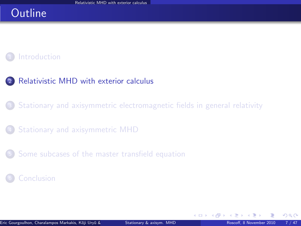### **Outline**

#### **[Introduction](#page-2-0)**

#### <sup>2</sup> [Relativistic MHD with exterior calculus](#page-7-0)

<sup>3</sup> [Stationary and axisymmetric electromagnetic fields in general relativity](#page-16-0)

<sup>4</sup> [Stationary and axisymmetric MHD](#page-30-0)

<sup>5</sup> [Some subcases of the master transfield equation](#page-52-0)

#### **[Conclusion](#page-59-0)**

<span id="page-7-0"></span> $\Omega$ 

**4 ロ ト 4 何 ト 4**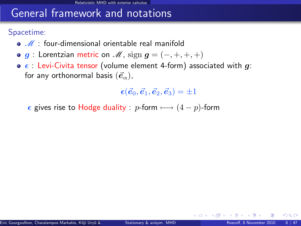### General framework and notations

Spacetime:

- $\bullet$   $\mathcal{M}$  : four-dimensional orientable real manifold
- $\bullet$  g : Lorentzian metric on  $\mathcal{M}$ , sign  $g = (-, +, +, +)$
- $\bullet$   $\epsilon$  : Levi-Civita tensor (volume element 4-form) associated with g: for any orthonormal basis  $(\vec{e}_{\alpha})$ ,

 $\epsilon(\vec{e}_0, \vec{e}_1, \vec{e}_2, \vec{e}_3) = \pm 1$ 

 $\epsilon$  gives rise to Hodge duality : p-form  $\longmapsto (4 - p)$ -form

 $\Omega$ 

**4 ロ ト 4 何 ト 4**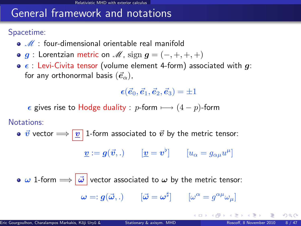### General framework and notations

Spacetime:

- $\bullet$   $\mathscr{M}$  : four-dimensional orientable real manifold
- $\bullet$  g : Lorentzian metric on  $\mathcal{M}$ , sign  $g = (-, +, +, +)$
- $\bullet$   $\epsilon$  : Levi-Civita tensor (volume element 4-form) associated with g: for any orthonormal basis  $(\vec{e}_{\alpha})$ ,

 $\epsilon(\vec{e}_0, \vec{e}_1, \vec{e}_2, \vec{e}_3) = \pm 1$ 

 $\epsilon$  gives rise to Hodge duality : p-form  $\longmapsto (4 - p)$ -form

Notations:

•  $\vec{v}$  vector  $\Longrightarrow$   $\boxed{v}$  1-form associated to  $\vec{v}$  by the metric tensor:

$$
\underline{\boldsymbol{v}} := \boldsymbol{g}(\vec{\boldsymbol{v}},.) \qquad [\underline{\boldsymbol{v}} = \boldsymbol{v}^{\flat}] \qquad [u_{\alpha} = g_{\alpha\mu}u^{\mu}]
$$

 $\bullet$   $\omega$  1-form  $\Longrightarrow$   $\vec{\omega}$  vector associated to  $\omega$  by the metric tensor:  $\bm{\omega} =: \bm{g}(\vec{\bm{\omega}},.) \qquad [\vec{\bm{\omega}} = \bm{\omega}^\sharp] \qquad [\omega^\alpha = g^{\alpha\mu}\omega_\mu]$ 

 $\Omega$ 

メロト メ母 トメミト メミト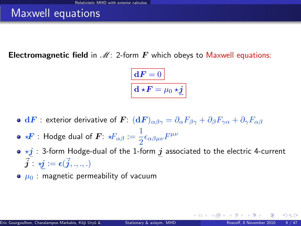### Maxwell equations

**Electromagnetic field** in  $\mathcal{M}$ : 2-form  $\mathbf{F}$  which obeys to Maxwell equations:

$$
\boxed{\mathbf{d} \mathbf{F} = 0}
$$

$$
\mathbf{d} \star \mathbf{F} = \mu_0 \star \underline{\mathbf{j}}
$$

- $\bullet\;{\bf d}F:$  exterior derivative of  $\bm F\colon({\bf d}F)_{\alpha\beta\gamma}=\partial_\alpha F_{\beta\gamma}+\partial_\beta F_{\gamma\alpha}+\partial_\gamma F_{\alpha\beta}$
- ?F : Hodge dual of F: ?Fαβ := 1  $\frac{1}{2}\epsilon_{\alpha\beta\mu\nu}F^{\mu\nu}$
- $\bullet \star j$  : 3-form Hodge-dual of the 1-form  $j$  associated to the electric 4-current  $\vec{\boldsymbol{j}}$  :  $\boldsymbol{\vec{y}}$   $:=$   $\boldsymbol{\epsilon}(\vec{\boldsymbol{j}}, ., ., .)$
- $\bullet$   $\mu_0$ : magnetic permeability of vacuum

( □ ) ( <sub>□</sub> ) (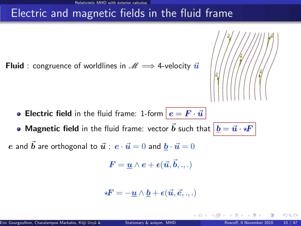### Electric and magnetic fields in the fluid frame

**Fluid** : congruence of worldlines in  $\mathcal{M} \implies$  4-velocity  $\vec{u}$ 



• Magnetic field in the fluid frame: vector  $\vec{b}$  such that  $\left| \,\underline{b} = \vec{u} \cdot \star \!\! F \,\right|$ 

e and  $\vec{b}$  are orthogonal to  $\vec{u}$  :  $e \cdot \vec{u} = 0$  and  $b \cdot \vec{u} = 0$ 

$$
\boldsymbol{F} = \underline{\boldsymbol{u}} \wedge \boldsymbol{e} + \boldsymbol{\epsilon}(\vec{\boldsymbol{u}}, \vec{\boldsymbol{b}}, ..)
$$

$$
\star \boldsymbol{F} = -\underline{\boldsymbol{u}} \wedge \underline{\boldsymbol{b}} + \boldsymbol{\epsilon}(\vec{\boldsymbol{u}}, \vec{\boldsymbol{e}}, ..)
$$

4 **D** F

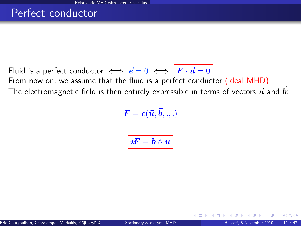### Perfect conductor

Fluid is a perfect conductor  $\iff \vec{e} = 0 \iff \vec{F} \cdot \vec{u} = 0$ From now on, we assume that the fluid is a perfect conductor (ideal MHD) The electromagnetic field is then entirely expressible in terms of vectors  $\vec{u}$  and  $\vec{b}$ :

$$
\boxed{\bm{F} = \bm{\epsilon}(\vec{\bm{u}}, \vec{\bm{b}}, .., )}
$$

$$
\boxed{ \star \! \! \! F = \underline{b} \wedge \underline{u} }
$$

 $\Omega$ 

**∢ ロ ▶ 《 何**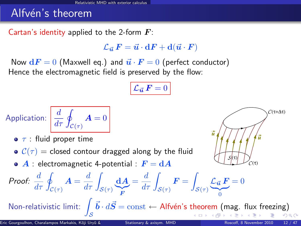### Alfvén's theorem

Cartan's identity applied to the 2-form  $\boldsymbol{F}$ :

 $\mathcal{L}_{\vec{u}}~F = \vec{u}\cdot dF + d(\vec{u}\cdot F)$ 

Now  $dF = 0$  (Maxwell eq.) and  $\vec{u} \cdot \vec{F} = 0$  (perfect conductor) Hence the electromagnetic field is preserved by the flow:

$$
\mathcal{L}_{\vec{\boldsymbol{u}}} \, \boldsymbol{F} = 0
$$

Application: 
$$
\frac{d}{d\tau} \oint_{\mathcal{C}(\tau)} \mathbf{A} = 0
$$

- $\bullet$   $\tau$  : fluid proper time
- $C(\tau)$  = closed contour dragged along by the fluid
- $\bullet$  A : electromagnetic 4-potential :  $F = dA$



Proof: 
$$
\frac{d}{d\tau} \oint_{\mathcal{C}(\tau)} \mathbf{A} = \frac{d}{d\tau} \int_{\mathcal{S}(\tau)} \underbrace{\mathbf{d} \mathbf{A}}_{\mathbf{F}} = \frac{d}{d\tau} \int_{\mathcal{S}(\tau)} \mathbf{F} = \int_{\mathcal{S}(\tau)} \mathcal{L}_{\vec{u}} \mathbf{F} = 0
$$
  
\nNon-relativistic limit:  $\int_{\mathcal{S}} \vec{b} \cdot d\vec{S} = \text{const} \leftarrow \text{Alfvén's theorem (mag. flux freezing)}$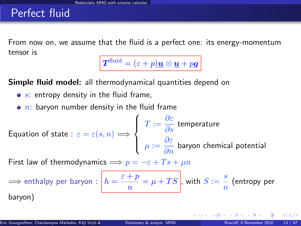### Perfect fluid

From now on, we assume that the fluid is a perfect one: its energy-momentum tensor is

 $\boldsymbol{T}^{\text{fluid}} = (\varepsilon + p)\boldsymbol{\underline{u}} \otimes \boldsymbol{\underline{u}} + p\boldsymbol{g}$ 

Simple fluid model: all thermodynamical quantities depend on

- $\bullet$  s: entropy density in the fluid frame,
- $\bullet$  n: baryon number density in the fluid frame

Equation of state : 
$$
\varepsilon = \varepsilon(s, n) \Longrightarrow
$$
 
$$
\begin{cases} T := \frac{\partial \varepsilon}{\partial s} \text{ temperature} \\ \mu := \frac{\partial \varepsilon}{\partial n} \text{ baryon chemical potential} \end{cases}
$$

First law of thermodynamics  $\implies p = -\varepsilon + Ts + \mu n$ 

$$
\implies \text{enthalpy per baryon}: \boxed{h = \frac{\varepsilon + p}{n} = \mu + TS}, \text{ with } S := \frac{s}{n} \text{ (entropy per baryon)}
$$

 $\Omega$ 

**←ロ ▶ ← イ 同 →**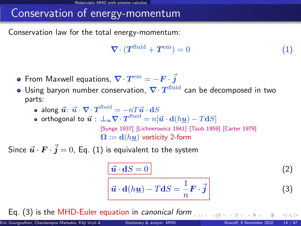## Conservation of energy-momentum

Conservation law for the total energy-momentum:

<span id="page-15-0"></span>
$$
\nabla \cdot (T^{\text{fluid}} + T^{\text{em}}) = 0 \tag{1}
$$

- From Maxwell equations,  $\boldsymbol{\nabla}\cdot\boldsymbol{T}^{\rm em}=-\boldsymbol{F}\cdot\boldsymbol{\vec{j}}$
- Using baryon number conservation,  $\nabla \cdot T^{\text{fluid}}$  can be decomposed in two parts:
	- along  $\vec{u}$ :  $\vec{u} \cdot \nabla \cdot \boldsymbol{T}^{\textrm{fluid}} = -n T \vec{u} \cdot \mathbf{d} S$
	- orthogonal to  $\vec{\bm{u}}:\ \bm{\bot_u\nabla}\cdot\bm{T}^{\text{fluid}}=n[\vec{\bm{u}}\cdot \mathbf{d}(h\underline{\bm{u}})-T\mathbf{d}S]$ [\[Synge 1937\]](#page-0-1) [\[Lichnerowicz 1941\]](#page-0-1) [\[Taub 1959\]](#page-0-1) [\[Carter 1979\]](#page-0-1)  $\mathbf{\Omega} := \mathbf{d}(hu)$  vorticity 2-form

Since  $\vec{u} \cdot \vec{F} \cdot \vec{j} = 0$ , Eq.  $(1)$  is equivalent to the system

<span id="page-15-3"></span><span id="page-15-2"></span><span id="page-15-1"></span>
$$
\frac{\vec{u} \cdot dS = 0}{\vec{u} \cdot d(h\underline{u}) - T dS = \frac{1}{n} \mathbf{F} \cdot \vec{j}
$$
 (2)

Eq. [\(3\)](#page-15-1) is the MHD-Euler equation in canonical form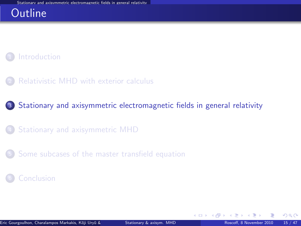### **Outline**



[Relativistic MHD with exterior calculus](#page-7-0)

<sup>3</sup> [Stationary and axisymmetric electromagnetic fields in general relativity](#page-16-0)

- <sup>4</sup> [Stationary and axisymmetric MHD](#page-30-0)
- <sup>5</sup> [Some subcases of the master transfield equation](#page-52-0)

#### **[Conclusion](#page-59-0)**

<span id="page-16-0"></span> $\Omega$ 

**←ロ ▶ ← イ 同 →**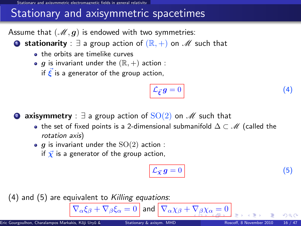d axisymmetric electromagnetic fields in general relati

### Stationary and axisymmetric spacetimes

Assume that  $(M, g)$  is endowed with two symmetries:

**■ stationarity** :  $\exists$  a group action of  $(\mathbb{R}, +)$  on  $\mathcal{M}$  such that

- **a** the orbits are timelike curves
- $\bullet$  g is invariant under the  $(\mathbb{R}, +)$  action :

if  $\vec{\xi}$  is a generator of the group action,

<span id="page-17-1"></span>
$$
\mathcal{L}_{\vec{\xi}}g = 0 \tag{4}
$$

**2 axisymmetry** :  $\exists$  a group action of  $SO(2)$  on  $\mathscr{M}$  such that

- the set of fixed points is a 2-dimensional submanifold  $\Delta \subset \mathcal{M}$  (called the rotation axis)
- $\bullet$  g is invariant under the  $SO(2)$  action :

if  $\vec{\chi}$  is a generator of the group action,

<span id="page-17-2"></span><span id="page-17-0"></span>
$$
\mathcal{L}_{\vec{\chi}} g = 0 \tag{5}
$$

 $(4)$  and  $(5)$  are equivalent to Killing equations:

 $\overline{\nabla_{\alpha}\xi_{\beta}+\nabla_{\beta}\xi_{\alpha}}=0$  $\overline{\nabla_{\alpha}\xi_{\beta}+\nabla_{\beta}\xi_{\alpha}}=0$  $\overline{\nabla_{\alpha}\xi_{\beta}+\nabla_{\beta}\xi_{\alpha}}=0$  and  $\overline{\nabla_{\alpha}\chi_{\beta}+\nabla_{\beta}\chi_{\alpha}}=0$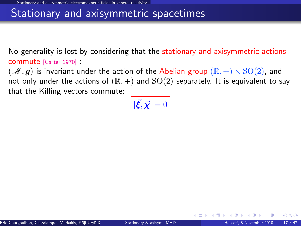### Stationary and axisymmetric spacetimes

No generality is lost by considering that the stationary and axisymmetric actions commute [\[Carter 1970\]](#page-0-1) :

 $(\mathscr{M}, g)$  is invariant under the action of the Abelian group  $(\mathbb{R}, +) \times \text{SO}(2)$ , and not only under the actions of  $(\mathbb{R}, +)$  and  $SO(2)$  separately. It is equivalent to say that the Killing vectors commute:

$$
\left[ \vec{\xi}, \vec{\chi} \right] = 0
$$

<span id="page-18-0"></span> $\Omega$ 

**←ロ ▶ ← イ 同 →**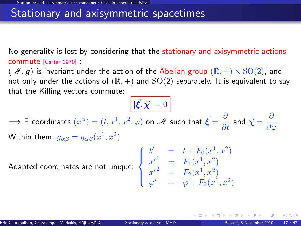### Stationary and axisymmetric spacetimes

No generality is lost by considering that the stationary and axisymmetric actions commute [\[Carter 1970\]](#page-0-1) :

 $(\mathscr{M}, g)$  is invariant under the action of the Abelian group  $(\mathbb{R}, +) \times \text{SO}(2)$ , and not only under the actions of  $(\mathbb{R}, +)$  and  $SO(2)$  separately. It is equivalent to say that the Killing vectors commute:

 $[\vec{\xi}, \vec{\chi}] = 0$  $\implies$   $\exists$  coordinates  $(x^\alpha)=(t,x^1,x^2,\varphi)$  on  $\mathscr{M}$  such that  $\vec{\bm{\xi}}=\frac{\partial}{\partial t}$  and  $\vec{\bm{\chi}}=\frac{\partial}{\partial \vec{\gamma}}$  $\partial\varphi$ Within them,  $g_{\alpha\beta}=g_{\alpha\beta}(x^1,x^2)$ 

Adapted coordinates are not unique:  $\Big\}$ 

$$
\begin{cases}\n t' &= t + F_0(x^1, x^2) \\
 x'^1 &= F_1(x^1, x^2) \\
 x'^2 &= F_2(x^1, x^2) \\
 \varphi' &= \varphi + F_3(x^1, x^2)\n\end{cases}
$$

**K ロ ▶ K 何 ▶ K 手** 

 $\Omega$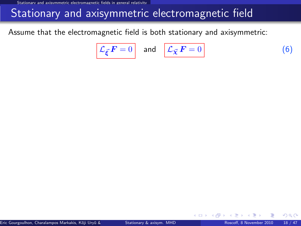### Stationary and axisymmetric electromagnetic field

Assume that the electromagnetic field is both stationary and axisymmetric:

<span id="page-20-0"></span>
$$
\mathcal{L}_{\vec{\xi}} \mathbf{F} = 0 \quad \text{and} \quad \mathcal{L}_{\vec{\chi}} \mathbf{F} = 0 \tag{6}
$$

**← ロ ▶ → イ 同** 

 $\Omega$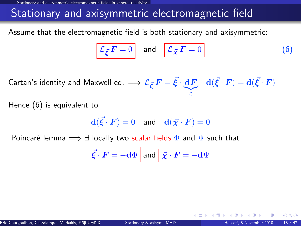### Stationary and axisymmetric electromagnetic field

Assume that the electromagnetic field is both stationary and axisymmetric:

$$
\mathcal{L}_{\vec{\xi}} \mathbf{F} = 0 \quad \text{and} \quad \boxed{\mathcal{L}_{\vec{\chi}} \mathbf{F} = 0} \tag{6}
$$

Cartan's identity and Maxwell eq.  $\Longrightarrow {\mathcal L}_{\vec{\xi}}\, F = \vec{\xi} \cdot \underbrace{{\rm d} F}$  $|{}_{0}$  $+ \mathbf{d}(\vec{\xi}\cdot\bm{F}) = \mathbf{d}(\vec{\xi}\cdot\bm{F})$ 

Hence [\(6\)](#page-20-0) is equivalent to

$$
\mathbf{d}(\vec{\xi} \cdot \boldsymbol{F}) = 0 \quad \text{and} \quad \mathbf{d}(\vec{\chi} \cdot \boldsymbol{F}) = 0
$$

Poincaré lemma  $\implies \exists$  locally two scalar fields  $\Phi$  and  $\Psi$  such that

$$
\vec{\xi} \cdot \vec{F} = -\mathrm{d}\Phi \text{ and } \vec{\chi} \cdot \vec{F} = -\mathrm{d}\Psi
$$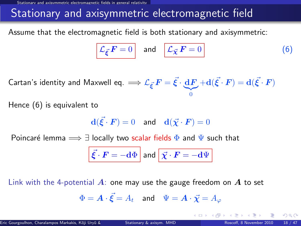### Stationary and axisymmetric electromagnetic field

Assume that the electromagnetic field is both stationary and axisymmetric:

$$
\mathcal{L}_{\vec{\xi}} \mathbf{F} = 0 \quad \text{and} \quad \boxed{\mathcal{L}_{\vec{\chi}} \mathbf{F} = 0} \tag{6}
$$

Cartan's identity and Maxwell eq.  $\Longrightarrow {\mathcal L}_{\vec{\xi}}\, F = \vec{\xi} \cdot \underbrace{{\rm d} F}$  $|{}_{0}$  $+ \mathbf{d}(\vec{\xi}\cdot\bm{F}) = \mathbf{d}(\vec{\xi}\cdot\bm{F})$ 

Hence [\(6\)](#page-20-0) is equivalent to

$$
\mathbf{d}(\vec{\xi} \cdot \boldsymbol{F}) = 0 \quad \text{and} \quad \mathbf{d}(\vec{\chi} \cdot \boldsymbol{F}) = 0
$$

Poincaré lemma  $\implies \exists$  locally two scalar fields  $\Phi$  and  $\Psi$  such that

$$
\vec{\xi} \cdot \vec{F} = -\mathrm{d}\Phi \text{ and } \vec{\chi} \cdot \vec{F} = -\mathrm{d}\Psi
$$

Link with the 4-potential  $\vec{A}$ : one may use the gauge freedom on  $\vec{A}$  to set

$$
\Phi = \boldsymbol{A} \cdot \vec{\boldsymbol{\xi}} = A_t \quad \text{and} \quad \Psi = \boldsymbol{A} \cdot \vec{\boldsymbol{\chi}} = A_\varphi
$$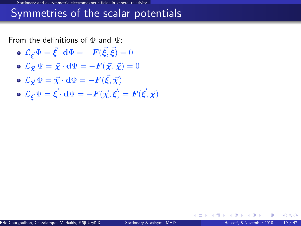### Symmetries of the scalar potentials

From the definitions of  $\Phi$  and  $\Psi$ :

- $\mathcal{L}_{\vec{\boldsymbol{\xi}}}\Phi=\vec{\boldsymbol{\xi}}\cdot\mathbf{d}\Phi=-\boldsymbol{F}(\vec{\boldsymbol{\xi}},\vec{\boldsymbol{\xi}})=0$
- $\mathbf{L}_{\vec{X}}\Psi = \vec{X}\cdot d\Psi = -\mathbf{F}(\vec{X},\vec{X}) = 0$
- $\mathcal{L}_{\vec{\boldsymbol\chi}}\,\Phi=\vec{\boldsymbol\chi}\cdot{\bf d}\Phi=-{\boldsymbol F}(\vec{\boldsymbol\xi},\vec{\boldsymbol\chi})$
- $\mathcal{L}_{\vec{\bm{\xi}}} \Psi = \vec{\bm{\xi}} \cdot \mathbf{d} \Psi = -\bm{F}(\vec{\chi},\vec{\bm{\xi}}) = \bm{F}(\vec{\bm{\xi}},\vec{\chi})$

 $\Omega$ 

**←ロ ▶ ← イ 同 →**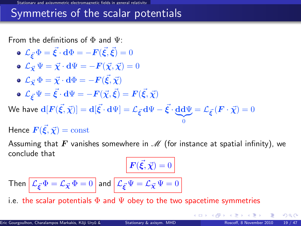### Symmetries of the scalar potentials

From the definitions of  $\Phi$  and  $\Psi$ :

\n- \n
$$
\mathcal{L}_{\vec{\xi}} \Phi = \vec{\xi} \cdot d\Phi = -F(\vec{\xi}, \vec{\xi}) = 0
$$
\n
\n- \n
$$
\mathcal{L}_{\vec{\chi}} \Psi = \vec{\chi} \cdot d\Psi = -F(\vec{\chi}, \vec{\chi}) = 0
$$
\n
\n- \n
$$
\mathcal{L}_{\vec{\chi}} \Phi = \vec{\chi} \cdot d\Phi = -F(\vec{\xi}, \vec{\chi})
$$
\n
\n- \n
$$
\mathcal{L}_{\vec{\xi}} \Psi = \vec{\xi} \cdot d\Psi = -F(\vec{\chi}, \vec{\xi}) = F(\vec{\xi}, \vec{\chi})
$$
\n
\n- \n
$$
\mathcal{L}_{\vec{\xi}} \Psi = \vec{\xi} \cdot d\Psi = -F(\vec{\chi}, \vec{\xi}) = F(\vec{\xi}, \vec{\chi})
$$
\n
\n- \n
$$
\mathcal{L}_{\vec{\xi}} \Psi = \vec{\xi} \cdot d\Psi = -F(\vec{\chi}, \vec{\xi}) = F(\vec{\xi}, \vec{\chi})
$$
\n
\n

We have  $\mathbf{d}[F(\vec{\xi},\vec{\chi})] = \mathbf{d}[\vec{\xi}\cdot\mathbf{d}\Psi] = \mathcal{L}_{\vec{\xi}}\cdot\mathbf{d}\Psi - \vec{\xi}\cdot\underbrace{\mathbf{d}\mathbf{d}\Psi}_{0} = \mathcal{L}_{\vec{\xi}}\cdot\left(\bm{F}\cdot\vec{\chi}\right) = 0$ 

Hence  $\vec{F}(\vec{\xi}, \vec{\chi}) = \mathrm{const}$ 

Assuming that F vanishes somewhere in  $\mathcal M$  (for instance at spatial infinity), we conclude that

<span id="page-24-0"></span> $\bf{0}$ 

$$
\mathbf{F}(\vec{\xi}, \vec{\chi}) = 0
$$

Then 
$$
\mathcal{L}_{\vec{\xi}} \Phi = \mathcal{L}_{\vec{\chi}} \Phi = 0
$$
 and  $\mathcal{L}_{\vec{\xi}} \Psi = \mathcal{L}_{\vec{\chi}} \Psi = 0$ 

i.e. the scalar potentials  $\Phi$  and  $\Psi$  obey to the two spacetime symmetries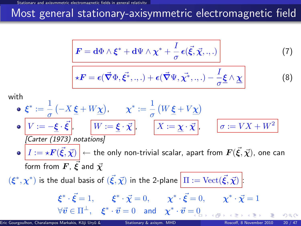### Most general stationary-axisymmetric electromagnetic field

$$
\mathbf{F} = \mathbf{d}\Phi \wedge \boldsymbol{\xi}^* + \mathbf{d}\Psi \wedge \boldsymbol{\chi}^* + \frac{I}{\sigma} \boldsymbol{\epsilon}(\vec{\xi}, \vec{\chi}, \cdot, \cdot) \tag{7}
$$

$$
\ast \boldsymbol{F} = \boldsymbol{\epsilon}(\vec{\boldsymbol{\nabla}} \Phi, \vec{\boldsymbol{\xi}^*}, \ldots) + \boldsymbol{\epsilon}(\vec{\boldsymbol{\nabla}} \Psi, \vec{\boldsymbol{\chi}^*}, \ldots) - \frac{I}{\sigma} \boldsymbol{\underline{\xi}} \wedge \underline{\boldsymbol{\chi}}
$$

with

$$
\begin{aligned}\n\mathbf{e} \quad & \xi^* := \frac{1}{\sigma} \left( -X \, \underline{\xi} + W \underline{\chi} \right), \qquad \chi^* := \frac{1}{\sigma} \left( W \, \underline{\xi} + V \underline{\chi} \right) \\
& \mathbf{e} \quad \boxed{V := -\underline{\xi} \cdot \vec{\xi}}, \qquad \boxed{W := \underline{\xi} \cdot \vec{\chi}}, \qquad \boxed{X := \underline{\chi} \cdot \vec{\chi}}, \qquad \boxed{\sigma := VX + W^2} \\
\text{[Carter (1973) notations]} \\
& \mathbf{e} \quad \boxed{I := \star \mathbf{F}(\vec{\xi}, \vec{\chi})} \leftarrow \text{the only non-trivial scalar, apart from } \mathbf{F}(\vec{\xi}, \vec{\chi}), \text{ one can form from } \mathbf{F}, \, \vec{\xi} \text{ and } \vec{\chi} \\
& (\xi^*, \chi^*) \text{ is the dual basis of } (\vec{\xi}, \vec{\chi}) \text{ in the 2-plane } \boxed{\Pi := \text{Vect}(\vec{\xi}, \vec{\chi})} \\
& \xi^* \cdot \vec{\xi} = 1, \qquad \xi^* \cdot \vec{\chi} = 0, \qquad \chi^* \cdot \vec{\xi} = 0, \qquad \chi^* \cdot \vec{\chi} = 1 \\
& \forall \vec{v} \in \Pi^\perp, \quad \xi^* \cdot \vec{v} = 0 \quad \text{and} \quad \chi^* \cdot \vec{v} = 0\n\end{aligned}
$$

<span id="page-25-2"></span><span id="page-25-1"></span><span id="page-25-0"></span> $(8)$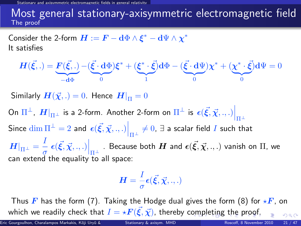Stationarie fields in general relativit

#### Most general stationary-axisymmetric electromagnetic field The proof

Consider the 2-form  $\boldsymbol{H}:=\boldsymbol{F}-\mathbf{d}\Phi\wedge\boldsymbol{\xi}^*-\mathbf{d}\Psi\wedge\boldsymbol{\chi}^*$ It satisfies

$$
\boldsymbol{H}(\vec{\xi},.) = \underbrace{\boldsymbol{F}(\vec{\xi},.)}_{-\mathbf{d}\Phi} - (\underbrace{\vec{\xi} \cdot \mathbf{d}\Phi}_{0})\boldsymbol{\xi}^* + (\underbrace{\boldsymbol{\xi}^* \cdot \vec{\xi}}_{1})\mathbf{d}\Phi - (\underbrace{\vec{\xi} \cdot \mathbf{d}\Psi}_{0})\boldsymbol{\chi}^* + (\underbrace{\boldsymbol{\chi}^* \cdot \vec{\xi}}_{0})\mathbf{d}\Psi = 0
$$

Similarly  $H(\vec{\chi},.)=0$ . Hence  $H|_{\Pi}=0$ 

On  $\Pi^\perp$ ,  $\left. H \right|_{\Pi^\perp}$  is a 2-form. Another 2-form on  $\Pi^\perp$  is  $\left. \epsilon (\vec{\xi},\vec{\chi},.,.) \right|_{\Pi^\perp}$ Since  $\dim \Pi^\perp = 2$  and  $\left. \epsilon(\vec{\xi},\vec{\chi}, ., .) \right|_{\Pi^\perp} \neq 0, \, \exists$  a scalar field  $I$  such that  $\left. H \right|_{\Pi^{\pm}} = \frac{I}{\sigma}$  $\left. \frac{1}{\sigma}\right\vert \epsilon(\vec{\xi},\vec{\chi},.,.)\Big|_{\Pi^{\perp}}$  . Because both  $H$  and  $\epsilon(\vec{\xi},\vec{\chi},.,.)$  vanish on  $\Pi$ , we can extend the equality to all space:

<span id="page-26-0"></span>
$$
\boldsymbol{H}=\frac{I}{\sigma}\boldsymbol{\epsilon}(\vec{\boldsymbol{\xi}},\vec{\boldsymbol{\chi}},.,.)
$$

Thus F has the form [\(7\)](#page-25-1). Taking the Hodge dual gives the form [\(8\)](#page-25-2) for  $\star$ F, on which we readily check [t](#page-25-0)[h](#page-16-0)at  $I = \star \boldsymbol{F}(\vec{\xi},\vec{\chi})$  $I = \star \boldsymbol{F}(\vec{\xi},\vec{\chi})$  $I = \star \boldsymbol{F}(\vec{\xi},\vec{\chi})$ , thereby c[om](#page-25-0)[ple](#page-27-0)t[in](#page-26-0)[g](#page-27-0) [t](#page-15-2)he [p](#page-30-0)[ro](#page-15-2)[o](#page-16-0)[f](#page-29-0)[.](#page-30-0)  $\Omega$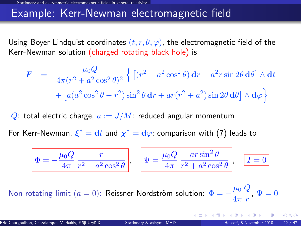### Example: Kerr-Newman electromagnetic field

Using Boyer-Lindquist coordinates  $(t, r, \theta, \varphi)$ , the electromagnetic field of the Kerr-Newman solution (charged rotating black hole) is

$$
\mathbf{F} = \frac{\mu_0 Q}{4\pi (r^2 + a^2 \cos^2 \theta)^2} \left\{ \left[ (r^2 - a^2 \cos^2 \theta) \mathbf{d}r - a^2 r \sin 2\theta \mathbf{d}\theta \right] \wedge \mathbf{d}t + \left[ a(a^2 \cos^2 \theta - r^2) \sin^2 \theta \mathbf{d}r + ar(r^2 + a^2) \sin 2\theta \mathbf{d}\theta \right] \wedge \mathbf{d}\varphi \right\}
$$

Q: total electric charge,  $a := J/M$ : reduced angular momentum

For Kerr-Newman,  $\xi^* = \mathrm{d}t$  and  $\chi^* = \mathrm{d}\varphi$ ; comparison with [\(7\)](#page-25-1) leads to

<span id="page-27-0"></span>
$$
\Phi = -\frac{\mu_0 Q}{4\pi} \frac{r}{r^2 + a^2 \cos^2 \theta}, \quad \Psi = \frac{\mu_0 Q}{4\pi} \frac{ar \sin^2 \theta}{r^2 + a^2 \cos^2 \theta}, \quad \boxed{I = 0}
$$

Non-rotating limit  $(a = 0)$ : Reissner-Nordström solution:  $\Phi = -\frac{\mu_0}{4}$  $4\pi$  $\overline{Q}$  $\frac{q}{r}$ ,  $\Psi = 0$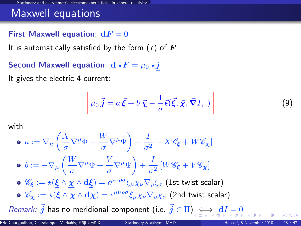### Maxwell equations

#### First Maxwell equation:  $dF = 0$

It is automatically satisfied by the form [\(7\)](#page-25-1) of  $\bm{F}$ 

Second Maxwell equation:  $d \star F = \mu_0 \star j$ 

It gives the electric 4-current:

<span id="page-28-1"></span><span id="page-28-0"></span>
$$
\mu_0 \vec{j} = a \vec{\xi} + b \vec{\chi} - \frac{1}{\sigma} \vec{\epsilon}(\vec{\xi}, \vec{\chi}, \vec{\nabla} I, .)
$$
\n(9)

with

$$
\begin{aligned}\n\bullet \ a &:= \nabla_{\mu} \left( \frac{X}{\sigma} \nabla^{\mu} \Phi - \frac{W}{\sigma} \nabla^{\mu} \Psi \right) + \frac{I}{\sigma^2} \left[ -X \mathscr{C}_{\xi} + W \mathscr{C}_{\chi} \right] \\
\bullet \ b &:= -\nabla_{\mu} \left( \frac{W}{\sigma} \nabla^{\mu} \Phi + \frac{V}{\sigma} \nabla^{\mu} \Psi \right) + \frac{I}{\sigma^2} \left[ W \mathscr{C}_{\xi} + V \mathscr{C}_{\chi} \right] \\
\bullet \ \mathscr{C}_{\xi} &:= \star \left( \underline{\xi} \wedge \underline{\chi} \wedge \underline{\mathbf{d}} \underline{\xi} \right) = \epsilon^{\mu \nu \rho \sigma} \xi_{\mu} \chi_{\nu} \nabla_{\rho} \xi_{\sigma} \text{ (1st twist scalar)} \\
\bullet \ \mathscr{C}_{\chi} &:= \star \left( \underline{\xi} \wedge \underline{\chi} \wedge \underline{\mathbf{d}} \underline{\chi} \right) = \epsilon^{\mu \nu \rho \sigma} \xi_{\mu} \chi_{\nu} \nabla_{\rho} \chi_{\sigma} \text{ (2nd twist scalar)} \\
\text{Remark: } \vec{j} \text{ has no meridional component (i.e. } \vec{j} \in \Pi \text{), } \Leftrightarrow \text{ for } \vec{j} \text{ is } \vec{k} \text{ is } \vec{k} \text{ is } \vec{k} \text{ is } \vec{k} \text{ is } \vec{k} \text{ is } \vec{k} \text{ is } \vec{k} \text{ is } \vec{k} \text{ is } \vec{k} \text{ is } \vec{k} \text{ is } \vec{k} \text{ is } \vec{k} \text{ is } \vec{k} \text{ is } \vec{k} \text{ is } \vec{k} \text{ is } \vec{k} \text{ is } \vec{k} \text{ is } \vec{k} \text{ is } \vec{k} \text{ is } \vec{k} \text{ is } \vec{k} \text{ is } \vec{k} \text{ is } \vec{k} \text{ is } \vec{k} \text{ is } \vec{k} \text{ is } \vec{k} \text{ is } \vec{k} \text{ is } \vec{k} \text{ is } \vec{k} \text{ is } \vec{k} \text{ is } \vec{k} \text{ is } \vec{k} \text{ is } \vec{k} \text{ is
$$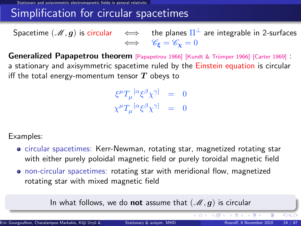### Simplification for circular spacetimes

Spacetime  $(\mathscr{M},\bm{g})$  is circular  $\quad\Longleftrightarrow\quad$  the planes  $\Pi^\perp$  are integrable in 2-surfaces  $\iff$   $\mathscr{C}_{\epsilon} = \mathscr{C}_{\mathbf{v}} = 0$ 

Generalized Papapetrou theorem [\[Papapetrou 1966\]](#page-0-1) [Kundt & Trümper 1966] [\[Carter 1969\]](#page-0-1) : a stationary and axisymmetric spacetime ruled by the Einstein equation is circular iff the total energy-momentum tensor  $T$  obeys to

> $\xi^\mu T_\mu^{~[\alpha}\xi^\beta\chi^{\gamma]} ~=~ 0$  $\chi^\mu T_\mu{}^{[\alpha} \xi^\beta \chi^{\gamma]} \quad = \quad 0$

Examples:

- circular spacetimes: Kerr-Newman, rotating star, magnetized rotating star with either purely poloidal magnetic field or purely toroidal magnetic field
- non-circular spacetimes: rotating star with meridional flow, magnetized rotating star with mixed magnetic field

In what follows, we do not assume that  $(\mathcal{M}, g)$  is circular

<span id="page-29-0"></span>イロト イ部 トイモ トイモン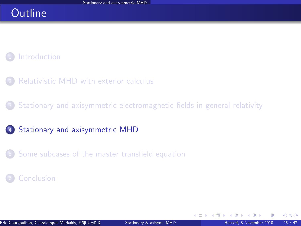### **Outline**

#### **[Introduction](#page-2-0)**

- [Relativistic MHD with exterior calculus](#page-7-0)
- <sup>3</sup> [Stationary and axisymmetric electromagnetic fields in general relativity](#page-16-0)
- 4 [Stationary and axisymmetric MHD](#page-30-0)
- <sup>5</sup> [Some subcases of the master transfield equation](#page-52-0)

#### **[Conclusion](#page-59-0)**

<span id="page-30-0"></span> $\Omega$ 

**←ロ ▶ ← イ 同 →**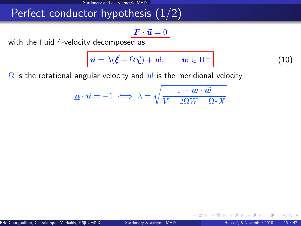### Perfect conductor hypothesis  $(1/2)$

$$
\boxed{\boldsymbol{F}\cdot\vec{\boldsymbol{u}}=0}
$$

with the fluid 4-velocity decomposed as

<span id="page-31-1"></span>
$$
\vec{u} = \lambda(\vec{\xi} + \Omega \vec{\chi}) + \vec{w}, \qquad \vec{w} \in \Pi^{\perp}
$$
 (10)

<span id="page-31-2"></span><span id="page-31-0"></span>**∢ ロ ▶ 《 何** 

 $\Omega$  is the rotational angular velocity and  $\vec{w}$  is the meridional velocity

$$
\underline{\boldsymbol{u}}\cdot\vec{\boldsymbol{u}}=-1\iff\lambda=\sqrt{\frac{1+\underline{\boldsymbol{w}}\cdot\vec{\boldsymbol{w}}}{V-2\Omega W-\Omega^2X}}
$$

 $\Omega$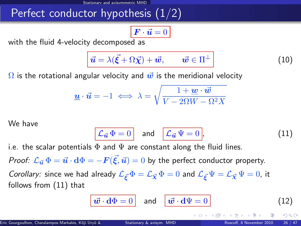## Perfect conductor hypothesis (1/2)

$$
\boxed{\boldsymbol{F}\cdot\vec{\boldsymbol{u}}=0}
$$

with the fluid 4-velocity decomposed as

$$
\vec{u} = \lambda(\vec{\xi} + \Omega \vec{\chi}) + \vec{w}, \qquad \vec{w} \in \Pi^{\perp}
$$
 (10)

 $\Omega$  is the rotational angular velocity and  $\vec{w}$  is the meridional velocity

$$
\underline{\boldsymbol{u}} \cdot \vec{\boldsymbol{u}} = -1 \iff \lambda = \sqrt{\frac{1 + \underline{\boldsymbol{w}} \cdot \vec{\boldsymbol{w}}}{V - 2\Omega W - \Omega^2 X}}
$$

We have

$$
\mathcal{L}_{\vec{u}}\,\Phi=0\quad\text{and}\quad\boxed{\mathcal{L}_{\vec{u}}\,\Psi=0},\tag{11}
$$

i.e. the scalar potentials  $\Phi$  and  $\Psi$  are constant along the fluid lines.

*Proof:*  $\mathcal{L}_{\vec{u}}\,\Phi=\vec{u}\cdot\mathrm{d}\Phi=-F(\vec{\xi},\vec{u})=0$  *by the perfect conductor property.* 

Corollary: since we had already  $\mathcal{L}_{\vec{\kappa}}\Phi = \mathcal{L}_{\vec{\chi}}\Phi = 0$  and  $\mathcal{L}_{\vec{\kappa}}\Psi = \mathcal{L}_{\vec{\chi}}\Psi = 0$ , it follows from [\(11\)](#page-31-0) that

$$
\boxed{\vec{\boldsymbol{w}}\cdot\mathbf{d}\Phi=0} \quad \text{and} \quad \boxed{\vec{\boldsymbol{w}}\cdot\mathbf{d}\Psi=0} \tag{12}
$$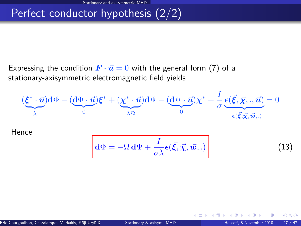# Perfect conductor hypothesis (2/2)

Expressing the condition  $\vec{F} \cdot \vec{u} = 0$  with the general form [\(7\)](#page-25-1) of a stationary-axisymmetric electromagnetic field yields

$$
(\underbrace{\xi^* \cdot \vec{u}}_{\lambda}) d\Phi - (\underbrace{d\Phi \cdot \vec{u}}_{0}) \xi^* + (\underbrace{\chi^* \cdot \vec{u}}_{\lambda \Omega}) d\Psi - (\underbrace{d\Psi \cdot \vec{u}}_{0}) \chi^* + \frac{I}{\sigma} \underbrace{\epsilon(\vec{\xi}, \vec{\chi}, \cdot, \vec{u})}_{-\epsilon(\vec{\xi}, \vec{\chi}, \vec{w}, \cdot)} = 0
$$

Hence

$$
\mathbf{d}\Phi = -\Omega \mathbf{d}\Psi + \frac{I}{\sigma\lambda} \boldsymbol{\epsilon}(\vec{\xi}, \vec{\chi}, \vec{w}, .)
$$
 (13)

<span id="page-33-0"></span>**4 ロ ト 4 何 ト 4** 

 $299$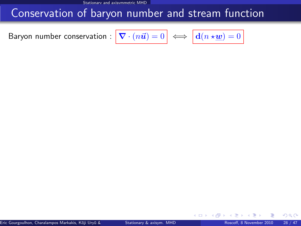Stationary and axisymmetric MHD

### Conservation of baryon number and stream function

<span id="page-34-0"></span>Baryon number conservation :

$$
\boxed{\boldsymbol{\nabla}\cdot(n\vec{\boldsymbol{u}})=0} \iff \boxed{\mathbf{d}(n\star\underline{\boldsymbol{w}})=0}
$$

 $\Omega$ 

<span id="page-34-1"></span>← □ ▶ → dP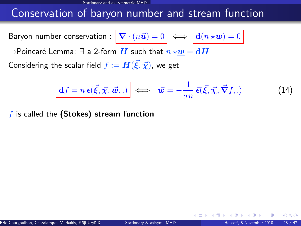Stationary and axisymmetric MHD

### Conservation of baryon number and stream function

Baryon number conservation :  $\nabla$ 

$$
\mathbf{I} \cdot (n\vec{u}) = 0 \iff \boxed{\mathbf{d}(n \star \underline{w}) = 0}
$$

 $\rightarrow$ Poincaré Lemma:  $\exists$  a 2-form  $H$  such that  $n \star w = dH$ 

Considering the scalar field  $f:=\bm{H}(\vec{\bm{\xi}},\vec{\bm{\chi}})$ , we get

$$
\boxed{\mathbf{d}f = n\,\boldsymbol{\epsilon}(\vec{\xi}, \vec{\chi}, \vec{w}, .)} \iff \left| \vec{w} = -\frac{1}{\sigma n} \,\vec{\epsilon}(\vec{\xi}, \vec{\chi}, \vec{\nabla}f, .) \right| \tag{14}
$$

4 **D** F

 $f$  is called the (Stokes) stream function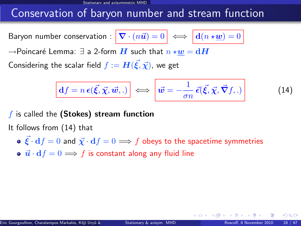### Conservation of baryon number and stream function

Baryon number conservation :  $\nabla$ 

$$
\mathbf{I} \cdot (n\vec{u}) = 0 \iff \boxed{\mathbf{d}(n \star \underline{w}) = 0}
$$

 $\rightarrow$ Poincaré Lemma:  $\exists$  a 2-form  $\boldsymbol{H}$  such that  $n \star \boldsymbol{w} = \mathbf{d}\boldsymbol{H}$ 

Considering the scalar field  $f:=\bm{H}(\vec{\bm{\xi}},\vec{\bm{\chi}})$ , we get

$$
\boxed{\mathbf{d}f = n\,\boldsymbol{\epsilon}(\vec{\xi}, \vec{\chi}, \vec{\boldsymbol{w}},.)} \iff \boxed{\vec{\boldsymbol{w}} = -\frac{1}{\sigma n}\,\vec{\epsilon}(\vec{\xi}, \vec{\chi}, \vec{\nabla}f,.)}
$$
(14)

 $f$  is called the (Stokes) stream function

It follows from [\(14\)](#page-34-0) that

- $\vec{\mathcal{E}} \cdot d f = 0$  and  $\vec{\chi} \cdot d f = 0 \Longrightarrow f$  obeys to the spacetime symmetries
- $\vec{u} \cdot df = 0 \Longrightarrow f$  is constant along any fluid line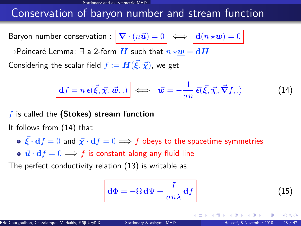## Conservation of baryon number and stream function

Baryon number conservation :  $\nabla$ 

$$
\mathbf{C} \cdot (n\vec{u}) = 0 \iff \boxed{\mathbf{d}(n \star \underline{\boldsymbol{w}})} = 0
$$

 $\rightarrow$ Poincaré Lemma:  $\exists$  a 2-form  $\boldsymbol{H}$  such that  $n \star \boldsymbol{w} = \mathbf{d}\boldsymbol{H}$ 

Considering the scalar field  $f:=\bm{H}(\vec{\bm{\xi}},\vec{\bm{\chi}})$ , we get

$$
\boxed{\mathbf{d}f = n\,\boldsymbol{\epsilon}(\vec{\xi}, \vec{\chi}, \vec{w}, .)} \iff \boxed{\vec{w} = -\frac{1}{\sigma n}\,\vec{\epsilon}(\vec{\xi}, \vec{\chi}, \vec{\nabla}f, .)}
$$
(14)

 $f$  is called the (Stokes) stream function

It follows from [\(14\)](#page-34-0) that

•  $\vec{\mathcal{E}} \cdot d f = 0$  and  $\vec{\chi} \cdot d f = 0 \Longrightarrow f$  obeys to the spacetime symmetries

•  $\vec{u} \cdot df = 0 \Longrightarrow f$  is constant along any fluid line

The perfect conductivity relation [\(13\)](#page-33-0) is writable as

$$
\mathbf{d}\Phi = -\Omega \,\mathbf{d}\Psi + \frac{I}{\sigma n\lambda} \,\mathbf{d}f\tag{15}
$$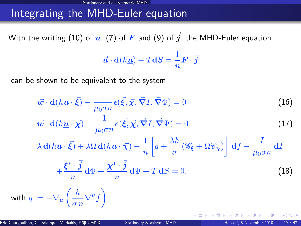### Integrating the MHD-Euler equation

With the writing [\(10\)](#page-31-1) of  $\vec{u}$ , [\(7\)](#page-25-1) of  $\vec{F}$  and [\(9\)](#page-28-1) of  $\vec{j}$ , the MHD-Euler equation

<span id="page-38-0"></span>
$$
\vec{u} \cdot d(h\underline{u}) - TdS = \frac{1}{n} \mathbf{F} \cdot \vec{j}
$$

can be shown to be equivalent to the system

$$
\vec{w} \cdot d(h\underline{u} \cdot \vec{\xi}) - \frac{1}{\mu_0 \sigma n} \epsilon(\vec{\xi}, \vec{\chi}, \vec{\nabla} I, \vec{\nabla} \Phi) = 0
$$
(16)  

$$
\vec{w} \cdot d(h\underline{u} \cdot \vec{\chi}) - \frac{1}{\mu_0 \sigma n} \epsilon(\vec{\xi}, \vec{\chi}, \vec{\nabla} I, \vec{\nabla} \Psi) = 0
$$
(17)  

$$
\lambda d(h\underline{u} \cdot \vec{\xi}) + \lambda \Omega d(h\underline{u} \cdot \vec{\chi}) - \frac{1}{n} \left[ q + \frac{\lambda h}{\sigma} (\mathscr{C}_{\xi} + \Omega \mathscr{C}_{\chi}) \right] df - \frac{I}{\mu_0 \sigma n} dI
$$
  

$$
+ \frac{\xi^* \cdot \vec{j}}{n} d\Phi + \frac{\chi^* \cdot \vec{j}}{n} d\Psi + T dS = 0.
$$
(18)

$$
\text{with } q := -\nabla_{\mu} \left( \frac{h}{\sigma n} \nabla^{\mu} f \right)
$$

 $\Omega$ 

<span id="page-38-2"></span><span id="page-38-1"></span>**∢ ロ ▶ 《 何**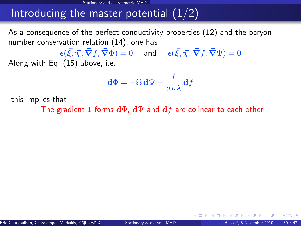As a consequence of the perfect conductivity properties [\(12\)](#page-31-2) and the baryon number conservation relation [\(14\)](#page-34-0), one has

 $\bm{\epsilon}(\vec{\xi}, \vec{\chi}, \vec{\nabla}f, \vec{\nabla}\Phi) = 0 \quad \text{ and } \quad \bm{\epsilon}(\vec{\xi}, \vec{\chi}, \vec{\nabla}f, \vec{\nabla}\Psi) = 0$ Along with Eq. [\(15\)](#page-34-1) above, i.e.

$$
\mathbf{d}\Phi = -\Omega \,\mathbf{d}\Psi + \frac{I}{\sigma n\lambda} \,\mathbf{d}f
$$

this implies that

The gradient 1-forms  $d\Phi$ ,  $d\Psi$  and  $df$  are colinear to each other

 $\Omega$ 

**←ロ ▶ ← イ 同 →**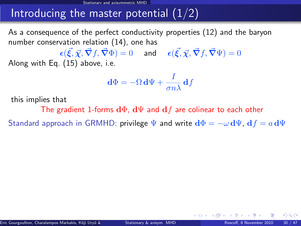As a consequence of the perfect conductivity properties [\(12\)](#page-31-2) and the baryon number conservation relation [\(14\)](#page-34-0), one has

 $\bm{\epsilon}(\vec{\xi}, \vec{\chi}, \vec{\nabla}f, \vec{\nabla}\Phi) = 0 \quad \text{ and } \quad \bm{\epsilon}(\vec{\xi}, \vec{\chi}, \vec{\nabla}f, \vec{\nabla}\Psi) = 0$ Along with Eq. [\(15\)](#page-34-1) above, i.e.

$$
\mathbf{d}\Phi = -\Omega \,\mathbf{d}\Psi + \frac{I}{\sigma n\lambda} \,\mathbf{d}f
$$

this implies that

The gradient 1-forms  $d\Phi$ ,  $d\Psi$  and  $df$  are colinear to each other

Standard approach in GRMHD: privilege  $\Psi$  and write  $d\Phi = -\omega \, d\Psi$ ,  $d f = a \, d\Psi$ 

 $\Omega$ 

**←ロ ▶ ← イ 同 →**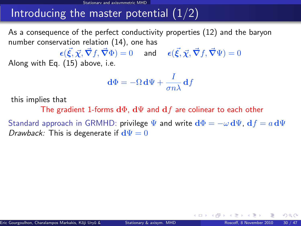As a consequence of the perfect conductivity properties [\(12\)](#page-31-2) and the baryon number conservation relation [\(14\)](#page-34-0), one has

 $\bm{\epsilon}(\vec{\xi}, \vec{\chi}, \vec{\nabla}f, \vec{\nabla}\Phi) = 0 \quad \text{ and } \quad \bm{\epsilon}(\vec{\xi}, \vec{\chi}, \vec{\nabla}f, \vec{\nabla}\Psi) = 0$ Along with Eq. [\(15\)](#page-34-1) above, i.e.

$$
\mathbf{d}\Phi = -\Omega \,\mathbf{d}\Psi + \frac{I}{\sigma n\lambda} \,\mathbf{d}f
$$

this implies that

The gradient 1-forms  $d\Phi$ ,  $d\Psi$  and  $df$  are colinear to each other

Standard approach in GRMHD: privilege  $\Psi$  and write  $d\Phi = -\omega \, d\Psi$ ,  $d f = a \, d\Psi$ Drawback: This is degenerate if  $d\Psi = 0$ 

 $\Omega$ 

**4 ロ ト 4 何 ト 4**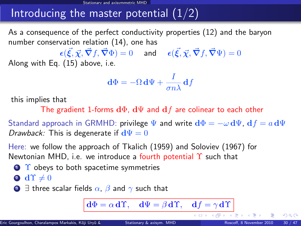As a consequence of the perfect conductivity properties [\(12\)](#page-31-2) and the baryon number conservation relation [\(14\)](#page-34-0), one has

 $\bm{\epsilon}(\vec{\xi}, \vec{\chi}, \vec{\nabla}f, \vec{\nabla}\Phi) = 0 \quad \text{ and } \quad \bm{\epsilon}(\vec{\xi}, \vec{\chi}, \vec{\nabla}f, \vec{\nabla}\Psi) = 0$ Along with Eq. [\(15\)](#page-34-1) above, i.e.

$$
\mathbf{d}\Phi = -\Omega \,\mathbf{d}\Psi + \frac{I}{\sigma n\lambda} \,\mathbf{d}f
$$

this implies that

The gradient 1-forms  $d\Phi$ ,  $d\Psi$  and  $df$  are colinear to each other

Standard approach in GRMHD: privilege  $\Psi$  and write  $d\Phi = -\omega \, d\Psi$ ,  $d f = a \, d\Psi$ Drawback: This is degenerate if  $d\Psi = 0$ 

Here: we follow the approach of Tkalich (1959) and Soloviev (1967) for Newtonian MHD, i.e. we introduce a fourth potential  $\Upsilon$  such that

 $\bigcirc$   $\Upsilon$  obeys to both spacetime symmetries

$$
\textcolor{blue}{\bullet}\ \textbf{d} \Upsilon \neq 0
$$

**3**  $\exists$  three scalar fields  $\alpha$ ,  $\beta$  and  $\gamma$  such that

$$
d\Phi = \alpha d\Upsilon
$$
,  $d\Psi = \beta d\Upsilon$ ,  $df = \gamma d\Upsilon$ 

**←ロト ← 何 →** 

 $\Omega$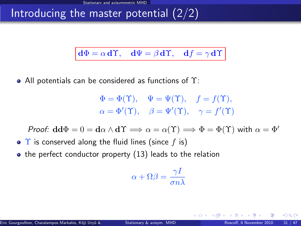$$
d\Phi = \alpha d\Upsilon
$$
,  $d\Psi = \beta d\Upsilon$ ,  $df = \gamma d\Upsilon$ 

• All potentials can be considered as functions of  $\Upsilon$ :

$$
\Phi = \Phi(\Upsilon), \quad \Psi = \Psi(\Upsilon), \quad f = f(\Upsilon),
$$
  

$$
\alpha = \Phi'(\Upsilon), \quad \beta = \Psi'(\Upsilon), \quad \gamma = f'(\Upsilon)
$$

Proof:  $\mathbf{d}\mathbf{d}\Phi = 0 = \mathbf{d}\alpha \wedge \mathbf{d}\Upsilon \Longrightarrow \alpha = \alpha(\Upsilon) \Longrightarrow \Phi = \Phi(\Upsilon)$  with  $\alpha = \Phi'$ 

- $\bullet$   $\Upsilon$  is conserved along the fluid lines (since f is)
- $\bullet$  the perfect conductor property [\(13\)](#page-33-0) leads to the relation

$$
\alpha+\Omega\beta=\frac{\gamma I}{\sigma n\lambda}
$$

 $\Omega$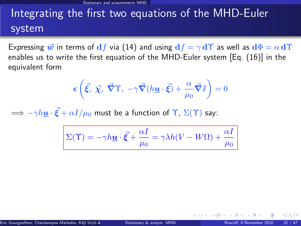# Integrating the first two equations of the MHD-Euler system

Expressing  $\vec{w}$  in terms of  $df$  via [\(14\)](#page-34-0) and using  $df = \gamma d\Upsilon$  as well as  $d\Phi = \alpha d\Upsilon$ enables us to write the first equation of the MHD-Euler system [Eq. [\(16\)](#page-38-0)] in the equivalent form

$$
\epsilon\left(\vec{\xi},\ \vec{\chi},\ \vec{\nabla}\Upsilon,\ -\gamma\vec{\nabla}(h\underline{\mathbf{u}}\cdot\vec{\xi})+\frac{\alpha}{\mu_0}\vec{\nabla}I\right)=0
$$

 $\Longrightarrow - \gamma h \underline{\boldsymbol{u}} \cdot \vec{\boldsymbol{\xi}} + \alpha I/\mu_0$  must be a function of  $\Upsilon$ ,  $\Sigma(\Upsilon)$  say:

$$
\Sigma(\Upsilon) = -\gamma h \underline{\mathbf{u}} \cdot \vec{\xi} + \frac{\alpha I}{\mu_0} = \gamma \lambda h (V - W\Omega) + \frac{\alpha I}{\mu_0}
$$

 $\Omega$ 

**←ロ ▶ ← イ 同 →**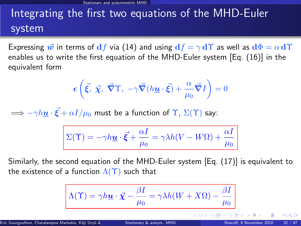# Integrating the first two equations of the MHD-Euler system

Expressing  $\vec{w}$  in terms of  $df$  via [\(14\)](#page-34-0) and using  $df = \gamma d\Upsilon$  as well as  $d\Phi = \alpha d\Upsilon$ enables us to write the first equation of the MHD-Euler system [Eq. [\(16\)](#page-38-0)] in the equivalent form

$$
\epsilon\left(\vec{\xi},\ \vec{\chi},\ \vec{\nabla}\Upsilon,\ -\gamma\vec{\nabla}(h\underline{\mathbf{u}}\cdot\vec{\xi})+\frac{\alpha}{\mu_0}\vec{\nabla}I\right)=0
$$

 $\Longrightarrow - \gamma h \underline{\boldsymbol{u}} \cdot \vec{\boldsymbol{\xi}} + \alpha I/\mu_0$  must be a function of  $\Upsilon$ ,  $\Sigma(\Upsilon)$  say:

$$
\Sigma(\Upsilon)=-\gamma h\underline{\boldsymbol{u}}\cdot\vec{\boldsymbol{\xi}}+\frac{\alpha I}{\mu_0}=\gamma\lambda h(V-W\Omega)+\frac{\alpha I}{\mu_0}
$$

Similarly, the second equation of the MHD-Euler system [Eq. [\(17\)](#page-38-1)] is equivalent to the existence of a function  $\Lambda(\Upsilon)$  such that

$$
\Lambda(\Upsilon) = \gamma h \underline{u} \cdot \vec{\chi} - \frac{\beta I}{\mu_0} = \gamma \lambda h(W + X\Omega) - \frac{\beta I}{\mu_0}
$$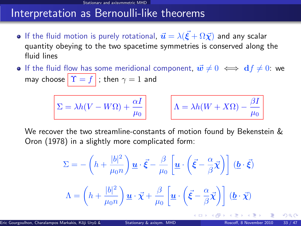### Interpretation as Bernoulli-like theorems

- If the fluid motion is purely rotational,  $\vec{\bm{u}} = \lambda (\vec{\bm{\xi}} + \Omega \vec{\bm{\chi}})$  and any scalar quantity obeying to the two spacetime symmetries is conserved along the fluid lines
- **If the fluid flow has some meridional component,**  $\vec{w} \neq 0 \iff \mathbf{d}f \neq 0$ **: we** may choose  $\|\Upsilon = f\|$ ; then  $\gamma = 1$  and

$$
\Sigma = \lambda h(V-W\Omega) + \frac{\alpha I}{\mu_0}
$$

$$
\Lambda = \lambda h(W + X\Omega) - \frac{\beta I}{\mu_0}
$$

∢ □ ▶ ∢r<sup>□</sup> ▶

We recover the two streamline-constants of motion found by Bekenstein & Oron (1978) in a slightly more complicated form:

$$
\Sigma = -\left(h + \frac{|b|^2}{\mu_0 n}\right) \underline{\boldsymbol{u}} \cdot \vec{\boldsymbol{\xi}} - \frac{\beta}{\mu_0} \left[\underline{\boldsymbol{u}} \cdot \left(\vec{\boldsymbol{\xi}} - \frac{\alpha}{\beta} \vec{\boldsymbol{\chi}}\right)\right] (\underline{\boldsymbol{b}} \cdot \vec{\boldsymbol{\xi}})
$$

$$
\Lambda = \left(h + \frac{|b|^2}{\mu_0 n}\right) \underline{\boldsymbol{u}} \cdot \vec{\boldsymbol{\chi}} + \frac{\beta}{\mu_0} \left[\underline{\boldsymbol{u}} \cdot \left(\vec{\boldsymbol{\xi}} - \frac{\alpha}{\beta} \vec{\boldsymbol{\chi}}\right)\right] (\underline{\boldsymbol{b}} \cdot \vec{\boldsymbol{\chi}})
$$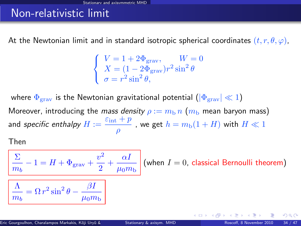### Non-relativistic limit

At the Newtonian limit and in standard isotropic spherical coordinates  $(t, r, \theta, \varphi)$ ,

$$
\begin{cases}\nV = 1 + 2\Phi_{\text{grav}}, & W = 0 \\
X = (1 - 2\Phi_{\text{grav}})r^2 \sin^2 \theta \\
\sigma = r^2 \sin^2 \theta,\n\end{cases}
$$

where  $\Phi_{\text{grav}}$  is the Newtonian gravitational potential  $(|\Phi_{\text{grav}}| \ll 1)$ Moreover, introducing the mass density  $\rho := m_b n$  ( $m_b$  mean baryon mass) and specific enthalpy  $H := \frac{\varepsilon_{\text{int}} + p}{\varepsilon_{\text{int}} + p}$  $\frac{p^+ + p^-}{\rho}$  , we get  $h = m_{\rm b}(1 + H)$  with  $H \ll 1$ 

Then

$$
\frac{\sum_{m_b} -1 = H + \Phi_{\text{grav}} + \frac{v^2}{2} + \frac{\alpha I}{\mu_0 m_b} \text{ (when } I = 0 \text{, classical Bernoulli theorem)}
$$
\n
$$
\boxed{\frac{\Lambda}{m_b} = \Omega r^2 \sin^2 \theta - \frac{\beta I}{\mu_0 m_b}}
$$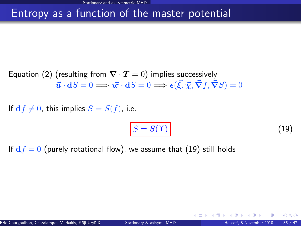### Entropy as a function of the master potential

Equation [\(2\)](#page-15-3) (resulting from  $\nabla \cdot \mathbf{T} = 0$ ) implies successively  $\vec{\boldsymbol{u}}\cdot \mathbf{d}S=0 \Longrightarrow \vec{\boldsymbol{w}}\cdot \mathbf{d}S=0 \Longrightarrow \epsilon(\vec{\boldsymbol{\xi}},\vec{\boldsymbol{\chi}},\vec{\boldsymbol{\nabla}}f,\vec{\boldsymbol{\nabla}}S)=0$ 

If  $df \neq 0$ , this implies  $S = S(f)$ , i.e.

<span id="page-48-0"></span>
$$
S = S(\Upsilon) \tag{19}
$$

**∢ ロ ▶ 《 何** 

If  $df = 0$  (purely rotational flow), we assume that [\(19\)](#page-48-0) still holds

 $\Omega$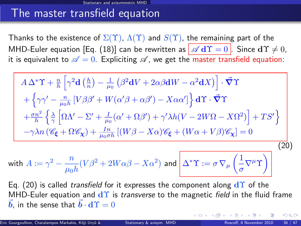### The master transfield equation

Thanks to the existence of  $\Sigma(\Upsilon)$ ,  $\Lambda(\Upsilon)$  and  $S(\Upsilon)$ , the remaining part of the MHD-Euler equation [Eq. [\(18\)](#page-38-2)] can be rewritten as  $\boxed{\mathscr{A} d\Upsilon = 0}$ . Since  $d\Upsilon \neq 0$ , it is equivalent to  $\mathscr{A} = 0$ . Expliciting  $\mathscr{A}$ , we get the master transfield equation:

<span id="page-49-0"></span>
$$
A \Delta^* \Upsilon + \frac{n}{h} \left[ \gamma^2 \mathbf{d} \left( \frac{h}{n} \right) - \frac{1}{\mu_0} \left( \beta^2 \mathbf{d} V + 2 \alpha \beta \mathbf{d} W - \alpha^2 \mathbf{d} X \right) \right] \cdot \vec{\nabla} \Upsilon
$$
  
+ 
$$
\left\{ \gamma \gamma' - \frac{n}{\mu_0 h} \left[ V \beta \beta' + W (\alpha' \beta + \alpha \beta') - X \alpha \alpha' \right] \right\} \mathbf{d} \Upsilon \cdot \vec{\nabla} \Upsilon
$$
  
+ 
$$
\frac{\sigma n^2}{h} \left\{ \frac{\lambda}{\gamma} \left[ \Omega \Lambda' - \Sigma' + \frac{I}{\mu_0} (\alpha' + \Omega \beta') + \gamma' \lambda h (V - 2W \Omega - X \Omega^2) \right] + TS' \right\}
$$
  
- 
$$
-\gamma \lambda n \left( \mathscr{C}_{\xi} + \Omega \mathscr{C}_{\chi} \right) + \frac{In}{\mu_0 \sigma h} \left[ (W \beta - X \alpha) \mathscr{C}_{\xi} + (W \alpha + V \beta) \mathscr{C}_{\chi} \right] = 0
$$
  
th 
$$
A := \gamma^2 - \frac{n}{\mu_0 h} (V \beta^2 + 2W \alpha \beta - X \alpha^2) \text{ and } \Delta^* \Upsilon := \sigma \nabla_{\mu} \left( \frac{1}{\sigma} \nabla^{\mu} \Upsilon \right)
$$
 (20)

Eq. (20) is called *transfield* for it expresses the component along 
$$
d\Upsilon
$$
 of the MHD-Euler equation and  $d\Upsilon$  is *transverse* to the magnetic field in the fluid frame  $\vec{b}$ , in the sense that  $\vec{b} \cdot d\Upsilon = 0$ 

wi<sup>-</sup>

<span id="page-49-1"></span> $\Omega$ 

**← ロ ▶ → イ 同 →**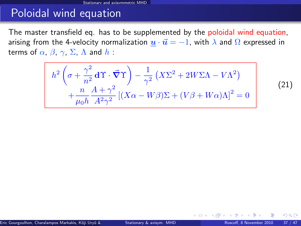### Poloidal wind equation

The master transfield eq. has to be supplemented by the poloidal wind equation, arising from the 4-velocity normalization  $\underline{u} \cdot \overrightarrow{u} = -1$ , with  $\lambda$  and  $\Omega$  expressed in terms of  $\alpha$ ,  $\beta$ ,  $\gamma$ ,  $\Sigma$ ,  $\Lambda$  and  $h$  :

<span id="page-50-1"></span>
$$
h^{2}\left(\sigma + \frac{\gamma^{2}}{n^{2}}\mathbf{d}\Upsilon\cdot\vec{\nabla}\Upsilon\right) - \frac{1}{\gamma^{2}}\left(X\Sigma^{2} + 2W\Sigma\Lambda - V\Lambda^{2}\right) + \frac{n}{\mu_{0}h} \frac{A + \gamma^{2}}{A^{2}\gamma^{2}}\left[\left(X\alpha - W\beta\right)\Sigma + \left(V\beta + W\alpha\right)\Lambda\right]^{2} = 0
$$

(21)

<span id="page-50-0"></span> $\Omega$ 

**←ロ ▶ ← イ 同 →**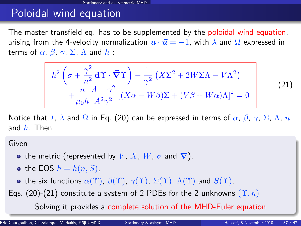### Poloidal wind equation

The master transfield eq. has to be supplemented by the poloidal wind equation, arising from the 4-velocity normalization  $u \cdot \vec{u} = -1$ , with  $\lambda$  and  $\Omega$  expressed in terms of  $\alpha$ ,  $\beta$ ,  $\gamma$ ,  $\Sigma$ ,  $\Lambda$  and  $h$ :

$$
h^{2}\left(\sigma + \frac{\gamma^{2}}{n^{2}}\mathbf{d}\Upsilon\cdot\vec{\nabla}\Upsilon\right) - \frac{1}{\gamma^{2}}\left(X\Sigma^{2} + 2W\Sigma\Lambda - V\Lambda^{2}\right) + \frac{n}{\mu_{0}h} \frac{A + \gamma^{2}}{A^{2}\gamma^{2}}\left[\left(X\alpha - W\beta\right)\Sigma + \left(V\beta + W\alpha\right)\Lambda\right]^{2} = 0
$$
\n(21)

Notice that I,  $\lambda$  and  $\Omega$  in Eq. [\(20\)](#page-49-0) can be expressed in terms of  $\alpha$ ,  $\beta$ ,  $\gamma$ ,  $\Sigma$ ,  $\Lambda$ ,  $n$ and  $h$ . Then

Given

- the metric (represented by V, X, W,  $\sigma$  and  $\nabla$ ),
- the EOS  $h = h(n, S)$ ,
- the six functions  $\alpha(\Upsilon)$ ,  $\beta(\Upsilon)$ ,  $\gamma(\Upsilon)$ ,  $\Sigma(\Upsilon)$ ,  $\Lambda(\Upsilon)$  and  $S(\Upsilon)$ ,
- Eqs. [\(20\)](#page-49-0)-[\(21\)](#page-50-1) constitute a system of 2 PDEs for the 2 unknowns  $(\Upsilon, n)$

<span id="page-51-0"></span>Solving it provides a complete solution of the [M](#page-50-0)[H](#page-52-0)[D](#page-49-1)[-](#page-50-0)[E](#page-51-0)[ul](#page-52-0)[er](#page-29-0)[e](#page-51-0)[q](#page-52-0)[ua](#page-29-0)[t](#page-30-0)[i](#page-51-0)[o](#page-52-0)[n](#page-0-0)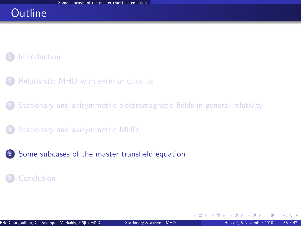### **Outline**

#### **[Introduction](#page-2-0)**

- [Relativistic MHD with exterior calculus](#page-7-0)
- <sup>3</sup> [Stationary and axisymmetric electromagnetic fields in general relativity](#page-16-0)
- <sup>4</sup> [Stationary and axisymmetric MHD](#page-30-0)
- <sup>5</sup> [Some subcases of the master transfield equation](#page-52-0)

#### **[Conclusion](#page-59-0)**

**←ロ ▶ ← イ 同 →** 

<span id="page-52-0"></span> $QQ$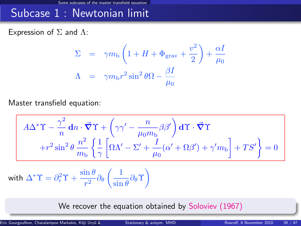### Subcase 1 : Newtonian limit

Expression of  $\Sigma$  and  $\Lambda$ :

$$
\Sigma = \gamma m_{\text{b}} \left( 1 + H + \Phi_{\text{grav}} + \frac{v^2}{2} \right) + \frac{\alpha I}{\mu_0}
$$

$$
\Lambda = \gamma m_{\text{b}} r^2 \sin^2 \theta \Omega - \frac{\beta I}{\mu_0}
$$

Master transfield equation:

$$
A\Delta^* \Upsilon - \frac{\gamma^2}{n} dn \cdot \vec{\nabla} \Upsilon + \left(\gamma \gamma' - \frac{n}{\mu_0 m_b} \beta \beta'\right) d\Upsilon \cdot \vec{\nabla} \Upsilon
$$

$$
+ r^2 \sin^2 \theta \frac{n^2}{m_b} \left\{ \frac{1}{\gamma} \left[ \Omega \Lambda' - \Sigma' + \frac{I}{\mu_0} (\alpha' + \Omega \beta') + \gamma' m_b \right] + TS' \right\} = 0
$$

with 
$$
\Delta^* \Upsilon = \partial_r^2 \Upsilon + \frac{\sin \theta}{r^2} \partial_\theta \left( \frac{1}{\sin \theta} \partial_\theta \Upsilon \right)
$$

We recover the equation obtained by Soloviev (1967)

Eric Gourgoulhon, Charalampos Markakis, Kōji Uryū & Yoshiharu Eric himaru Eric Hoscoff, 8 November 2010 39 / 47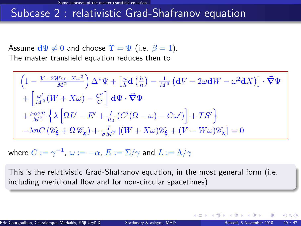### Subcase 2 : relativistic Grad-Shafranov equation

Assume  $d\Psi \neq 0$  and choose  $\Upsilon = \Psi$  (i.e.  $\beta = 1$ ). The master transfield equation reduces then to

$$
\begin{split} &\left(1-\frac{V-2W\omega-X\omega^{2}}{M^{2}}\right)\Delta^{*}\Psi+\left[\tfrac{n}{h}\mathbf{d}\left(\tfrac{h}{n}\right)-\tfrac{1}{M^{2}}\left(\mathbf{d}V-2\omega\mathbf{d}W-\omega^{2}\mathbf{d}X\right)\right]\cdot\vec{\nabla}\Psi\\ &+\left[\tfrac{\omega'}{M^{2}}\big(W+X\omega\big)-\tfrac{C'}{C}\right]\,\mathbf{d}\Psi\cdot\vec{\nabla}\Psi\\ &+\tfrac{\mu_{0}\sigma n}{M^{2}}\left\{\lambda\left[\Omega L'-E'+\tfrac{I}{\mu_{0}}\left(C'(\Omega-\omega)-C\omega'\right)\right]+TS'\right\}\\ &-\lambda nC\left(\mathscr{C}_{\pmb{\xi}}+\Omega\,\mathscr{C}_{\pmb{\chi}}\right)+\tfrac{I}{\sigma M^{2}}\left[(W+X\omega)\mathscr{C}_{\pmb{\xi}}+(V-W\omega)\mathscr{C}_{\pmb{\chi}}\right]=0 \end{split}
$$

where  $C:=\gamma^{-1},\ \omega:=-\alpha,\ E:=\Sigma/\gamma$  and  $L:=\Lambda/\gamma$ 

This is the relativistic Grad-Shafranov equation, in the most general form (i.e. including meridional flow and for non-circular spacetimes)

**←ロ ▶ ← イ 同 →**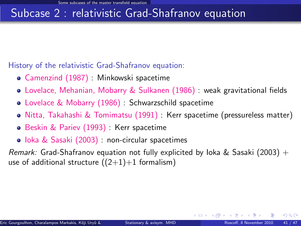### Subcase 2 : relativistic Grad-Shafranov equation

History of the relativistic Grad-Shafranov equation:

- Camenzind (1987) : Minkowski spacetime
- Lovelace, Mehanian, Mobarry & Sulkanen (1986) : weak gravitational fields
- Lovelace & Mobarry (1986) : Schwarzschild spacetime
- Nitta, Takahashi & Tomimatsu (1991) : Kerr spacetime (pressureless matter)
- **Beskin & Pariev (1993): Kerr spacetime**
- Ioka & Sasaki (2003) : non-circular spacetimes

Remark: Grad-Shafranov equation not fully explicited by loka & Sasaki (2003) + use of additional structure  $((2+1)+1$  formalism)

 $\Omega$ 

**4 ロ ト 4 何 ト 4**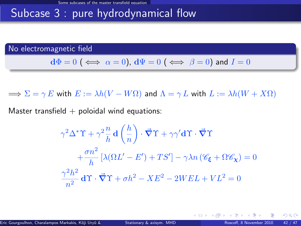### Subcase 3 : pure hydrodynamical flow

No electromagnetic field

$$
\mathbf{d}\Phi = 0 \; (\iff \alpha = 0), \, \mathbf{d}\Psi = 0 \; (\iff \beta = 0) \text{ and } I = 0
$$

 $\implies \Sigma = \gamma E$  with  $E := \lambda h(V - W\Omega)$  and  $\Lambda = \gamma L$  with  $L := \lambda h(W + X\Omega)$ 

Master transfield  $+$  poloidal wind equations:

$$
\gamma^2 \Delta^* \Upsilon + \gamma^2 \frac{n}{h} \mathbf{d} \left( \frac{h}{n} \right) \cdot \vec{\nabla} \Upsilon + \gamma \gamma' \mathbf{d} \Upsilon \cdot \vec{\nabla} \Upsilon
$$

$$
+ \frac{\sigma n^2}{h} \left[ \lambda (\Omega L' - E') + TS' \right] - \gamma \lambda n \left( \mathcal{C}_{\xi} + \Omega \mathcal{C}_{\chi} \right) = 0
$$

$$
\frac{\gamma^2 h^2}{n^2} \mathbf{d} \Upsilon \cdot \vec{\nabla} \Upsilon + \sigma h^2 - XE^2 - 2WEL + VL^2 = 0
$$

<span id="page-56-0"></span>つへへ

**K ロ ト K 何 ト**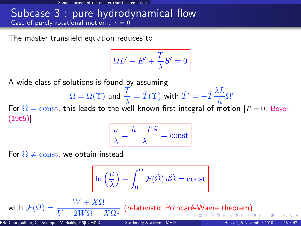Some subcases of the master transfield equation

#### Subcase 3 : pure hydrodynamical flow Case of purely rotational motion :  $\gamma = 0$

The master transfield equation reduces to

$$
\Omega L'-E'+\frac{T}{\lambda}S'=0
$$

A wide class of solutions is found by assuming

$$
\Omega = \Omega(\Upsilon) \text{ and } \frac{T}{\lambda} = \bar{T}(\Upsilon) \text{ with } \bar{T}' = -\bar{T}\frac{\lambda L}{h}\Omega'
$$

For  $\Omega = \text{const}$ , this leads to the well-known first integral of motion [T = 0: Boyer (1965)]

<span id="page-57-0"></span>
$$
\frac{\mu}{\lambda} = \frac{h - TS}{\lambda} = \text{const}
$$

For  $\Omega \neq \text{const}$ , we obtain instead

$$
\ln\left(\frac{\mu}{\lambda}\right)+\int_0^\Omega \mathcal{F}(\tilde{\Omega})\,d\tilde{\Omega}=\mathrm{const}
$$

wi[th](#page-58-0)  $\mathcal{F}(\Omega) = \dfrac{W+X\Omega}{V-2W\Omega-X\Omega^2}$  $\mathcal{F}(\Omega) = \dfrac{W+X\Omega}{V-2W\Omega-X\Omega^2}$  $\mathcal{F}(\Omega) = \dfrac{W+X\Omega}{V-2W\Omega-X\Omega^2}$  $\mathcal{F}(\Omega) = \dfrac{W+X\Omega}{V-2W\Omega-X\Omega^2}$  $\mathcal{F}(\Omega) = \dfrac{W+X\Omega}{V-2W\Omega-X\Omega^2}$  $\mathcal{F}(\Omega) = \dfrac{W+X\Omega}{V-2W\Omega-X\Omega^2}$  $\mathcal{F}(\Omega) = \dfrac{W+X\Omega}{V-2W\Omega-X\Omega^2}$  $\mathcal{F}(\Omega) = \dfrac{W+X\Omega}{V-2W\Omega-X\Omega^2}$  $\mathcal{F}(\Omega) = \dfrac{W+X\Omega}{V-2W\Omega-X\Omega^2}$  (relativistic Poincaré-Wa[vr](#page-56-0)[e](#page-57-0) the[o](#page-52-0)rem[\)](#page-52-0)  $\Omega$ 

Eric Gourgoulhon, Charalampos Markakis, Kōji Uryū & Yoshiharu Etationary & axisym. MHD Roscoff, 8 November 2010 43 / 47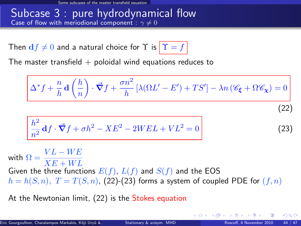#### Subcase 3 : pure hydrodynamical flow Case of flow with meriodional component :  $\gamma \neq 0$

Then  $df \neq 0$  and a natural choice for  $\Upsilon$  is  $|\Upsilon = f|$ 

The master transfield  $+$  poloidal wind equations reduces to

<span id="page-58-1"></span>
$$
\Delta^* f + \frac{n}{h} \mathbf{d} \left( \frac{h}{n} \right) \cdot \vec{\nabla} f + \frac{\sigma n^2}{h} \left[ \lambda (\Omega L' - E') + TS' \right] - \lambda n \left( \mathcal{C}_{\xi} + \Omega \mathcal{C}_{\chi} \right) = 0
$$
\n
$$
\frac{h^2}{n^2} \mathbf{d} f \cdot \vec{\nabla} f + \sigma h^2 - X E^2 - 2 W E L + V L^2 = 0
$$
\n(23)

with  $\Omega = \frac{VL - WE}{XE + WL}$ Given the three functions  $E(f)$ ,  $L(f)$  and  $S(f)$  and the EOS  $h = h(S, n)$ ,  $T = T(S, n)$ , [\(22\)](#page-58-1)-[\(23\)](#page-58-2) forms a system of coupled PDE for  $(f, n)$ 

At the Newtonian limit, [\(22\)](#page-58-1) is the Stokes equation

<span id="page-58-2"></span><span id="page-58-0"></span>**K ロ ▶ K 何 ▶ K 手**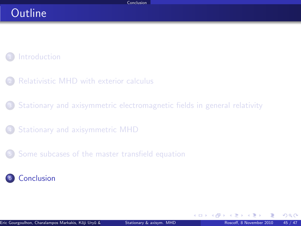### Outline

#### **[Introduction](#page-2-0)**

- [Relativistic MHD with exterior calculus](#page-7-0)
- <sup>3</sup> [Stationary and axisymmetric electromagnetic fields in general relativity](#page-16-0)
- <sup>4</sup> [Stationary and axisymmetric MHD](#page-30-0)
- <sup>5</sup> [Some subcases of the master transfield equation](#page-52-0)



<span id="page-59-0"></span> $\Omega$ 

**←ロ ▶ ← イ 同 →**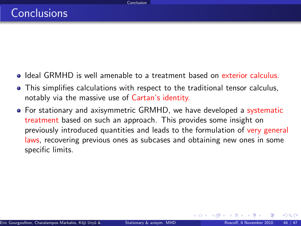- Ideal GRMHD is well amenable to a treatment based on exterior calculus.
- This simplifies calculations with respect to the traditional tensor calculus, notably via the massive use of Cartan's identity.
- For stationary and axisymmetric GRMHD, we have developed a systematic treatment based on such an approach. This provides some insight on previously introduced quantities and leads to the formulation of very general laws, recovering previous ones as subcases and obtaining new ones in some specific limits.

 $\Omega$ 

**K ロ ト K 何 ト**